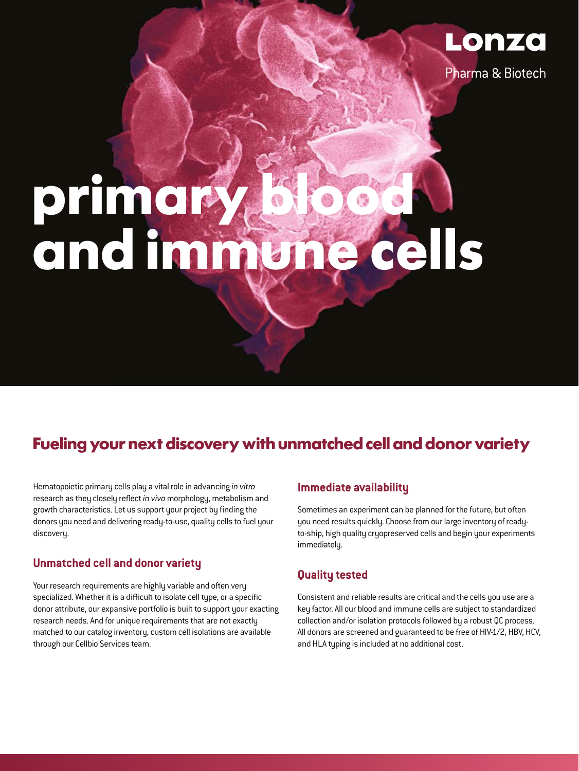

Pharma & Biotech

# **primary blood and immune cells**

# **Fueling your next discovery with unmatched cell and donor variety**

Hematopoietic primary cells play a vital role in advancing *in vitro* research as they closely reflect *in vivo* morphology, metabolism and growth characteristics. Let us support your project by finding the donors you need and delivering ready-to-use, quality cells to fuel your discovery.

# **Unmatched cell and donor variety**

Your research requirements are highly variable and often very specialized. Whether it is a difficult to isolate cell type, or a specific donor attribute, our expansive portfolio is built to support your exacting research needs. And for unique requirements that are not exactly matched to our catalog inventory, custom cell isolations are available through our Cellbio Services team.

# **Immediate availability**

Sometimes an experiment can be planned for the future, but often you need results quickly. Choose from our large inventory of readyto-ship, high quality cryopreserved cells and begin your experiments immediately.

# **Quality tested**

Consistent and reliable results are critical and the cells you use are a key factor. All our blood and immune cells are subject to standardized collection and/or isolation protocols followed by a robust QC process. All donors are screened and guaranteed to be free of HIV-1/2, HBV, HCV, and HLA typing is included at no additional cost.